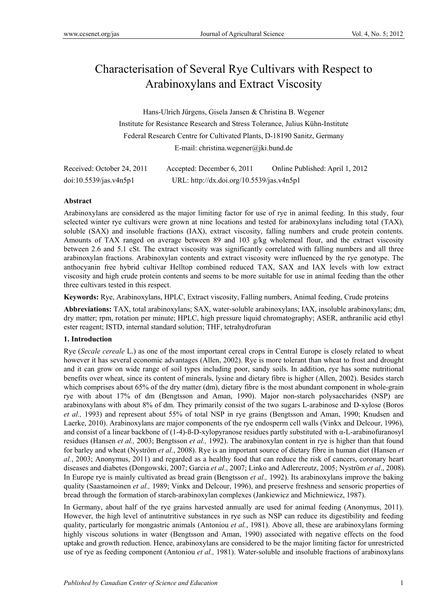# Characterisation of Several Rye Cultivars with Respect to Arabinoxylans and Extract Viscosity

Hans-Ulrich Jürgens, Gisela Jansen & Christina B. Wegener Institute for Resistance Research and Stress Tolerance, Julius Kühn-Institute Federal Research Centre for Cultivated Plants, D-18190 Sanitz, Germany E-mail: christina.wegener@jki.bund.de

| Received: October 24, 2011 | Accepted: December 6, 2011                | Online Published: April 1, 2012 |
|----------------------------|-------------------------------------------|---------------------------------|
| doi:10.5539/jas.v4n5p1     | URL: http://dx.doi.org/10.5539/jas.v4n5p1 |                                 |

## **Abstract**

Arabinoxylans are considered as the major limiting factor for use of rye in animal feeding. In this study, four selected winter rye cultivars were grown at nine locations and tested for arabinoxylans including total (TAX), soluble (SAX) and insoluble fractions (IAX), extract viscosity, falling numbers and crude protein contents. Amounts of TAX ranged on average between 89 and 103 g/kg wholemeal flour, and the extract viscosity between 2.6 and 5.1 cSt. The extract viscosity was significantly correlated with falling numbers and all three arabinoxylan fractions. Arabinoxylan contents and extract viscosity were influenced by the rye genotype. The anthocyanin free hybrid cultivar Helltop combined reduced TAX, SAX and IAX levels with low extract viscosity and high crude protein contents and seems to be more suitable for use in animal feeding than the other three cultivars tested in this respect.

**Keywords:** Rye, Arabinoxylans, HPLC, Extract viscosity, Falling numbers, Animal feeding, Crude proteins

**Abbreviations:** TAX, total arabinoxylans; SAX, water-soluble arabinoxylans; IAX, insoluble arabinoxylans; dm, dry matter; rpm, rotation per minute; HPLC, high pressure liquid chromatography; ASER, anthranilic acid ethyl ester reagent; ISTD, internal standard solution; THF, tetrahydrofuran

## **1. Introduction**

Rye (*Secale cereale* L.) as one of the most important cereal crops in Central Europe is closely related to wheat however it has several economic advantages (Allen, 2002). Rye is more tolerant than wheat to frost and drought and it can grow on wide range of soil types including poor, sandy soils. In addition, rye has some nutritional benefits over wheat, since its content of minerals, lysine and dietary fibre is higher (Allen, 2002). Besides starch which comprises about 65% of the dry matter (dm), dietary fibre is the most abundant component in whole-grain rye with about 17% of dm (Bengtsson and Aman, 1990). Major non-starch polysaccharides (NSP) are arabinoxylans with about 8% of dm. They primarily consist of the two sugars L-arabinose and D-xylose (Boros *et al.,* 1993) and represent about 55% of total NSP in rye grains (Bengtsson and Aman, 1990; Knudsen and Laerke, 2010). Arabinoxylans are major components of the rye endosperm cell walls (Vinkx and Delcour, 1996), and consist of a linear backbone of (1-4)-ß-D-xylopyranose residues partly substituted with α-L-arabinofuranosyl residues (Hansen *et al.,* 2003; Bengtsson *et al.,* 1992). The arabinoxylan content in rye is higher than that found for barley and wheat (Nyström *et al.*, 2008). Rye is an important source of dietary fibre in human diet (Hansen *et al.*, 2003; Anonymus, 2011) and regarded as a healthy food that can reduce the risk of cancers, coronary heart diseases and diabetes (Dongowski, 2007; Garcia *et al*., 2007; Linko and Adlercreutz, 2005; Nyström *et al*., 2008). In Europe rye is mainly cultivated as bread grain (Bengtsson *et al.,* 1992). Its arabinoxylans improve the baking quality (Saastamoinen *et al.,* 1989; Vinkx and Delcour, 1996), and preserve freshness and sensoric properties of bread through the formation of starch-arabinoxylan complexes (Jankiewicz and Michniewicz, 1987).

In Germany, about half of the rye grains harvested annually are used for animal feeding (Anonymus, 2011). However, the high level of antinutritive substances in rye such as NSP can reduce its digestibility and feeding quality, particularly for mongastric animals (Antoniou *et al.*, 1981). Above all, these are arabinoxylans forming highly viscous solutions in water (Bengtsson and Aman, 1990) associated with negative effects on the food uptake and growth reduction. Hence, arabinoxylans are considered to be the major limiting factor for unrestricted use of rye as feeding component (Antoniou *et al.,* 1981). Water-soluble and insoluble fractions of arabinoxylans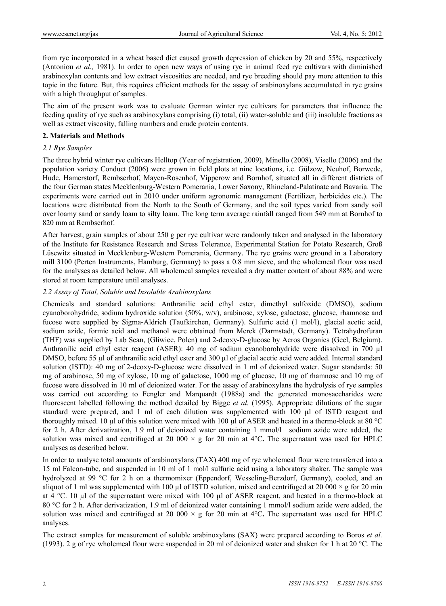from rye incorporated in a wheat based diet caused growth depression of chicken by 20 and 55%, respectively (Antoniou *et al.,* 1981). In order to open new ways of using rye in animal feed rye cultivars with diminished arabinoxylan contents and low extract viscosities are needed, and rye breeding should pay more attention to this topic in the future. But, this requires efficient methods for the assay of arabinoxylans accumulated in rye grains with a high throughput of samples.

The aim of the present work was to evaluate German winter rye cultivars for parameters that influence the feeding quality of rye such as arabinoxylans comprising (i) total, (ii) water-soluble and (iii) insoluble fractions as well as extract viscosity, falling numbers and crude protein contents.

#### **2. Materials and Methods**

#### *2.1 Rye Samples*

The three hybrid winter rye cultivars Helltop (Year of registration, 2009), Minello (2008), Visello (2006) and the population variety Conduct (2006) were grown in field plots at nine locations, i.e. Gülzow, Neuhof, Borwede, Hude, Hamerstorf, Rembserhof, Mayen-Rosenhof, Vipperow and Bornhof, situated all in different districts of the four German states Mecklenburg-Western Pomerania, Lower Saxony, Rhineland-Palatinate and Bavaria. The experiments were carried out in 2010 under uniform agronomic management (Fertilizer, herbicides etc.). The locations were distributed from the North to the South of Germany, and the soil types varied from sandy soil over loamy sand or sandy loam to silty loam. The long term average rainfall ranged from 549 mm at Bornhof to 820 mm at Rembserhof.

After harvest, grain samples of about 250 g per rye cultivar were randomly taken and analysed in the laboratory of the Institute for Resistance Research and Stress Tolerance, Experimental Station for Potato Research, Groß Lüsewitz situated in Mecklenburg-Western Pomerania, Germany. The rye grains were ground in a Laboratory mill 3100 (Perten Instruments, Hamburg, Germany) to pass a 0.8 mm sieve, and the wholemeal flour was used for the analyses as detailed below. All wholemeal samples revealed a dry matter content of about 88% and were stored at room temperature until analyses.

## *2.2 Assay of Total, Soluble and Insoluble Arabinoxylans*

Chemicals and standard solutions: Anthranilic acid ethyl ester, dimethyl sulfoxide (DMSO), sodium cyanoborohydride, sodium hydroxide solution (50%, w/v), arabinose, xylose, galactose, glucose, rhamnose and fucose were supplied by Sigma-Aldrich (Taufkirchen, Germany). Sulfuric acid (1 mol/l), glacial acetic acid, sodium azide, formic acid and methanol were obtained from Merck (Darmstadt, Germany). Tetrahydrofuran (THF) was supplied by Lab Scan, (Gliwice, Polen) and 2-deoxy-D-glucose by Acros Organics (Geel, Belgium). Anthranilic acid ethyl ester reagent (ASER): 40 mg of sodium cyanoborohydride were dissolved in 700 µl DMSO, before 55 µl of anthranilic acid ethyl ester and 300 µl of glacial acetic acid were added. Internal standard solution (ISTD): 40 mg of 2-deoxy-D-glucose were dissolved in 1 ml of deionized water. Sugar standards: 50 mg of arabinose, 50 mg of xylose, 10 mg of galactose, 1000 mg of glucose, 10 mg of rhamnose and 10 mg of fucose were dissolved in 10 ml of deionized water. For the assay of arabinoxylans the hydrolysis of rye samples was carried out according to Fengler and Marquardt (1988a) and the generated monosaccharides were fluorescent labelled following the method detailed by Bigge *et al.* (1995). Appropriate dilutions of the sugar standard were prepared, and 1 ml of each dilution was supplemented with 100  $\mu$ l of ISTD reagent and thoroughly mixed. 10 µl of this solution were mixed with 100 µl of ASER and heated in a thermo-block at 80 °C for 2 h. After derivatization, 1.9 ml of deionized water containing 1 mmol/l sodium azide were added, the solution was mixed and centrifuged at 20 000  $\times$  g for 20 min at 4<sup>o</sup>C. The supernatant was used for HPLC analyses as described below.

In order to analyse total amounts of arabinoxylans (TAX) 400 mg of rye wholemeal flour were transferred into a 15 ml Falcon-tube, and suspended in 10 ml of 1 mol/l sulfuric acid using a laboratory shaker. The sample was hydrolyzed at 99 °C for 2 h on a thermomixer (Eppendorf, Wesseling-Berzdorf, Germany), cooled, and an aliquot of 1 ml was supplemented with 100  $\mu$ l of ISTD solution, mixed and centrifuged at 20 000  $\times$  g for 20 min at 4  $^{\circ}$ C. 10 µl of the supernatant were mixed with 100 µl of ASER reagent, and heated in a thermo-block at 80 °C for 2 h. After derivatization, 1.9 ml of deionized water containing 1 mmol/l sodium azide were added, the solution was mixed and centrifuged at 20 000 × g for 20 min at 4°C**.** The supernatant was used for HPLC analyses.

The extract samples for measurement of soluble arabinoxylans (SAX) were prepared according to Boros *et al.* (1993). 2 g of rye wholemeal flour were suspended in 20 ml of deionized water and shaken for 1 h at 20 °C. The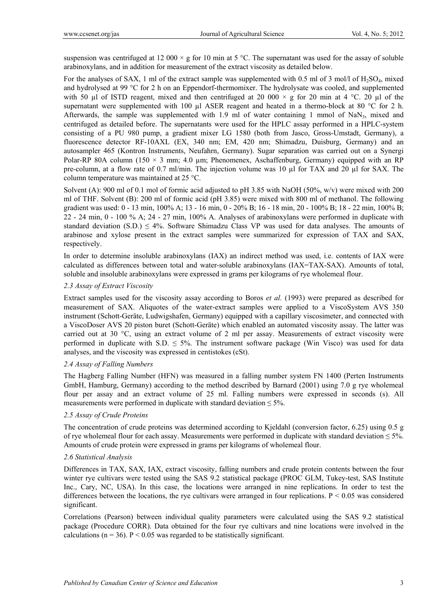suspension was centrifuged at 12 000  $\times$  g for 10 min at 5 °C. The supernatant was used for the assay of soluble arabinoxylans, and in addition for measurement of the extract viscosity as detailed below.

For the analyses of SAX, 1 ml of the extract sample was supplemented with 0.5 ml of 3 mol/l of H<sub>2</sub>SO<sub>4</sub>, mixed and hydrolysed at 99 °C for 2 h on an Eppendorf-thermomixer. The hydrolysate was cooled, and supplemented with 50 ul of ISTD reagent, mixed and then centrifuged at 20 000  $\times$  g for 20 min at 4 °C. 20 ul of the supernatant were supplemented with 100  $\mu$ l ASER reagent and heated in a thermo-block at 80 °C for 2 h. Afterwards, the sample was supplemented with 1.9 ml of water containing 1 mmol of NaN $_3$ , mixed and centrifuged as detailed before. The supernatants were used for the HPLC assay performed in a HPLC-system consisting of a PU 980 pump, a gradient mixer LG 1580 (both from Jasco, Gross-Umstadt, Germany), a fluorescence detector RF-10AXL (EX, 340 nm; EM, 420 nm; Shimadzu, Duisburg, Germany) and an autosampler 465 (Kontron Instruments, Neufahrn, Germany). Sugar separation was carried out on a Synergi Polar-RP 80A column (150  $\times$  3 mm; 4.0 µm; Phenomenex, Aschaffenburg, Germany) equipped with an RP pre-column, at a flow rate of 0.7 ml/min. The injection volume was 10 µl for TAX and 20 µl for SAX. The column temperature was maintained at 25 °C.

Solvent (A): 900 ml of 0.1 mol of formic acid adjusted to pH 3.85 with NaOH (50%, w/v) were mixed with 200 ml of THF. Solvent (B): 200 ml of formic acid (pH 3.85) were mixed with 800 ml of methanol. The following gradient was used: 0 - 13 min, 100% A; 13 - 16 min, 0 - 20% B; 16 - 18 min, 20 - 100% B; 18 - 22 min, 100% B; 22 - 24 min, 0 - 100 % A; 24 - 27 min, 100% A. Analyses of arabinoxylans were performed in duplicate with standard deviation  $(S.D.) \leq 4\%$ . Software Shimadzu Class VP was used for data analyses. The amounts of arabinose and xylose present in the extract samples were summarized for expression of TAX and SAX, respectively.

In order to determine insoluble arabinoxylans (IAX) an indirect method was used, i.e. contents of IAX were calculated as differences between total and water-soluble arabinoxylans (IAX=TAX-SAX). Amounts of total, soluble and insoluble arabinoxylans were expressed in grams per kilograms of rye wholemeal flour.

## *2.3 Assay of Extract Viscosity*

Extract samples used for the viscosity assay according to Boros *et al.* (1993) were prepared as described for measurement of SAX. Aliquotes of the water-extract samples were applied to a ViscoSystem AVS 350 instrument (Schott-Geräte, Ludwigshafen, Germany) equipped with a capillary viscosimeter, and connected with a ViscoDoser AVS 20 piston buret (Schott-Geräte) which enabled an automated viscosity assay. The latter was carried out at 30 °C, using an extract volume of 2 ml per assay. Measurements of extract viscosity were performed in duplicate with S.D.  $\leq$  5%. The instrument software package (Win Visco) was used for data analyses, and the viscosity was expressed in centistokes (cSt).

## *2.4 Assay of Falling Numbers*

The Hagberg Falling Number (HFN) was measured in a falling number system FN 1400 (Perten Instruments GmbH, Hamburg, Germany) according to the method described by Barnard (2001) using 7.0 g rye wholemeal flour per assay and an extract volume of 25 ml. Falling numbers were expressed in seconds (s). All measurements were performed in duplicate with standard deviation  $\leq 5\%$ .

## *2.5 Assay of Crude Proteins*

The concentration of crude proteins was determined according to Kjeldahl (conversion factor, 6.25) using 0.5 g of rye wholemeal flour for each assay. Measurements were performed in duplicate with standard deviation  $\leq 5\%$ . Amounts of crude protein were expressed in grams per kilograms of wholemeal flour.

## *2.6 Statistical Analysis*

Differences in TAX, SAX, IAX, extract viscosity, falling numbers and crude protein contents between the four winter rye cultivars were tested using the SAS 9.2 statistical package (PROC GLM, Tukey-test, SAS Institute Inc., Cary, NC, USA). In this case, the locations were arranged in nine replications. In order to test the differences between the locations, the rye cultivars were arranged in four replications. P < 0.05 was considered significant.

Correlations (Pearson) between individual quality parameters were calculated using the SAS 9.2 statistical package (Procedure CORR). Data obtained for the four rye cultivars and nine locations were involved in the calculations ( $n = 36$ ). P < 0.05 was regarded to be statistically significant.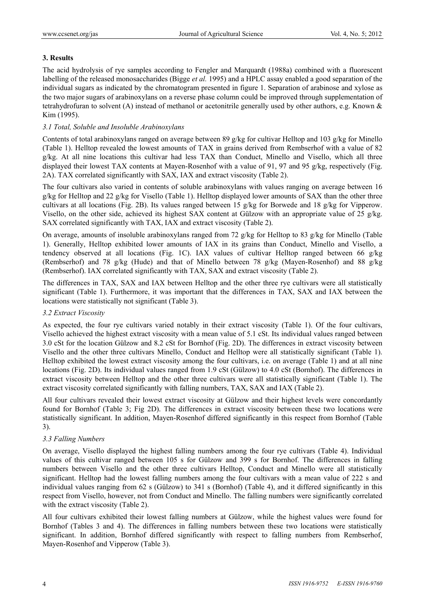## **3. Results**

The acid hydrolysis of rye samples according to Fengler and Marquardt (1988a) combined with a fluorescent labelling of the released monosaccharides (Bigge *et al.* 1995) and a HPLC assay enabled a good separation of the individual sugars as indicated by the chromatogram presented in figure 1. Separation of arabinose and xylose as the two major sugars of arabinoxylans on a reverse phase column could be improved through supplementation of tetrahydrofuran to solvent (A) instead of methanol or acetonitrile generally used by other authors, e.g. Known & Kim (1995).

## *3.1 Total, Soluble and Insoluble Arabinoxylans*

Contents of total arabinoxylans ranged on average between 89 g/kg for cultivar Helltop and 103 g/kg for Minello (Table 1). Helltop revealed the lowest amounts of TAX in grains derived from Rembserhof with a value of 82 g/kg. At all nine locations this cultivar had less TAX than Conduct, Minello and Visello, which all three displayed their lowest TAX contents at Mayen-Rosenhof with a value of 91, 97 and 95 g/kg, respectively (Fig. 2A). TAX correlated significantly with SAX, IAX and extract viscosity (Table 2).

The four cultivars also varied in contents of soluble arabinoxylans with values ranging on average between 16  $g/kg$  for Helltop and 22  $g/kg$  for Visello (Table 1). Helltop displayed lower amounts of SAX than the other three cultivars at all locations (Fig. 2B). Its values ranged between 15 g/kg for Borwede and 18 g/kg for Vipperow. Visello, on the other side, achieved its highest SAX content at Gülzow with an appropriate value of 25 g/kg. SAX correlated significantly with TAX, IAX and extract viscosity (Table 2).

On average, amounts of insoluble arabinoxylans ranged from 72 g/kg for Helltop to 83 g/kg for Minello (Table 1). Generally, Helltop exhibited lower amounts of IAX in its grains than Conduct, Minello and Visello, a tendency observed at all locations (Fig. 1C). IAX values of cultivar Helltop ranged between 66 g/kg (Rembserhof) and 78 g/kg (Hude) and that of Minello between 78 g/kg (Mayen-Rosenhof) and 88 g/kg (Rembserhof). IAX correlated significantly with TAX, SAX and extract viscosity (Table 2).

The differences in TAX, SAX and IAX between Helltop and the other three rye cultivars were all statistically significant (Table 1). Furthermore, it was important that the differences in TAX, SAX and IAX between the locations were statistically not significant (Table 3).

## *3.2 Extract Viscosity*

As expected, the four rye cultivars varied notably in their extract viscosity (Table 1). Of the four cultivars, Visello achieved the highest extract viscosity with a mean value of 5.1 cSt. Its individual values ranged between 3.0 cSt for the location Gülzow and 8.2 cSt for Bornhof (Fig. 2D). The differences in extract viscosity between Visello and the other three cultivars Minello, Conduct and Helltop were all statistically significant (Table 1). Helltop exhibited the lowest extract viscosity among the four cultivars, i.e. on average (Table 1) and at all nine locations (Fig. 2D). Its individual values ranged from 1.9 cSt (Gülzow) to 4.0 cSt (Bornhof). The differences in extract viscosity between Helltop and the other three cultivars were all statistically significant (Table 1). The extract viscosity correlated significantly with falling numbers, TAX, SAX and IAX (Table 2).

All four cultivars revealed their lowest extract viscosity at Gülzow and their highest levels were concordantly found for Bornhof (Table 3; Fig 2D). The differences in extract viscosity between these two locations were statistically significant. In addition, Mayen-Rosenhof differed significantly in this respect from Bornhof (Table 3).

## *3.3 Falling Numbers*

On average, Visello displayed the highest falling numbers among the four rye cultivars (Table 4). Individual values of this cultivar ranged between 105 s for Gülzow and 399 s for Bornhof. The differences in falling numbers between Visello and the other three cultivars Helltop, Conduct and Minello were all statistically significant. Helltop had the lowest falling numbers among the four cultivars with a mean value of 222 s and individual values ranging from 62 s (Gülzow) to 341 s (Bornhof) (Table 4), and it differed significantly in this respect from Visello, however, not from Conduct and Minello. The falling numbers were significantly correlated with the extract viscosity (Table 2).

All four cultivars exhibited their lowest falling numbers at Gülzow, while the highest values were found for Bornhof (Tables 3 and 4). The differences in falling numbers between these two locations were statistically significant. In addition, Bornhof differed significantly with respect to falling numbers from Rembserhof, Mayen-Rosenhof and Vipperow (Table 3).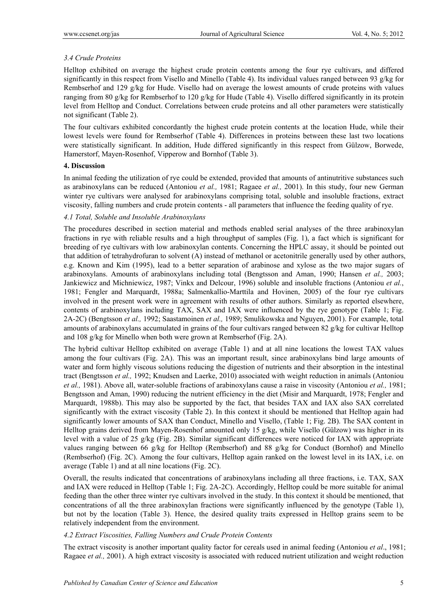## *3.4 Crude Proteins*

Helltop exhibited on average the highest crude protein contents among the four rye cultivars, and differed significantly in this respect from Visello and Minello (Table 4). Its individual values ranged between 93 g/kg for Rembserhof and 129 g/kg for Hude. Visello had on average the lowest amounts of crude proteins with values ranging from 80 g/kg for Rembserhof to 120 g/kg for Hude (Table 4). Visello differed significantly in its protein level from Helltop and Conduct. Correlations between crude proteins and all other parameters were statistically not significant (Table 2).

The four cultivars exhibited concordantly the highest crude protein contents at the location Hude, while their lowest levels were found for Rembserhof (Table 4). Differences in proteins between these last two locations were statistically significant. In addition, Hude differed significantly in this respect from Gülzow, Borwede, Hamerstorf, Mayen-Rosenhof, Vipperow and Bornhof (Table 3).

## **4. Discussion**

In animal feeding the utilization of rye could be extended, provided that amounts of antinutritive substances such as arabinoxylans can be reduced (Antoniou *et al.,* 1981; Ragaee *et al.,* 2001). In this study, four new German winter rye cultivars were analysed for arabinoxylans comprising total, soluble and insoluble fractions, extract viscosity, falling numbers and crude protein contents - all parameters that influence the feeding quality of rye.

## *4.1 Total, Soluble and Insoluble Arabinoxylans*

The procedures described in section material and methods enabled serial analyses of the three arabinoxylan fractions in rye with reliable results and a high throughput of samples (Fig. 1), a fact which is significant for breeding of rye cultivars with low arabinoxylan contents. Concerning the HPLC assay, it should be pointed out that addition of tetrahydrofuran to solvent (A) instead of methanol or acetonitrile generally used by other authors, e.g. Known and Kim (1995), lead to a better separation of arabinose and xylose as the two major sugars of arabinoxylans. Amounts of arabinoxylans including total (Bengtsson and Aman, 1990; Hansen *et al.,* 2003; Jankiewicz and Michniewicz, 1987; Vinkx and Delcour, 1996) soluble and insoluble fractions (Antoniou *et al.*, 1981; Fengler and Marquardt, 1988a; Salmenkallio-Marttila and Hovinen, 2005) of the four rye cultivars involved in the present work were in agreement with results of other authors. Similarly as reported elsewhere, contents of arabinoxylans including TAX, SAX and IAX were influenced by the rye genotype (Table 1; Fig. 2A-2C) (Bengtsson *et al.,* 1992; Saastamoinen *et al.,* 1989; Smulikowska and Nguyen, 2001). For example, total amounts of arabinoxylans accumulated in grains of the four cultivars ranged between 82 g/kg for cultivar Helltop and 108 g/kg for Minello when both were grown at Rembserhof (Fig. 2A).

The hybrid cultivar Helltop exhibited on average (Table 1) and at all nine locations the lowest TAX values among the four cultivars (Fig. 2A). This was an important result, since arabinoxylans bind large amounts of water and form highly viscous solutions reducing the digestion of nutrients and their absorption in the intestinal tract (Bengtsson *et al.,* 1992; Knudsen and Laerke, 2010) associated with weight reduction in animals (Antoniou *et al.,* 1981). Above all, water-soluble fractions of arabinoxylans cause a raise in viscosity (Antoniou *et al.,* 1981; Bengtsson and Aman, 1990) reducing the nutrient efficiency in the diet (Misir and Marquardt, 1978; Fengler and Marquardt, 1988b). This may also be supported by the fact, that besides TAX and IAX also SAX correlated significantly with the extract viscosity (Table 2). In this context it should be mentioned that Helltop again had significantly lower amounts of SAX than Conduct, Minello and Visello, (Table 1; Fig. 2B). The SAX content in Helltop grains derived from Mayen-Rosenhof amounted only 15 g/kg, while Visello (Gülzow) was higher in its level with a value of 25 g/kg (Fig. 2B). Similar significant differences were noticed for IAX with appropriate values ranging between 66 g/kg for Helltop (Rembserhof) and 88 g/kg for Conduct (Bornhof) and Minello (Rembserhof) (Fig. 2C). Among the four cultivars, Helltop again ranked on the lowest level in its IAX, i.e. on average (Table 1) and at all nine locations (Fig. 2C).

Overall, the results indicated that concentrations of arabinoxylans including all three fractions, i.e. TAX, SAX and IAX were reduced in Helltop (Table 1; Fig. 2A-2C). Accordingly, Helltop could be more suitable for animal feeding than the other three winter rye cultivars involved in the study. In this context it should be mentioned, that concentrations of all the three arabinoxylan fractions were significantly influenced by the genotype (Table 1), but not by the location (Table 3). Hence, the desired quality traits expressed in Helltop grains seem to be relatively independent from the environment.

## *4.2 Extract Viscosities, Falling Numbers and Crude Protein Contents*

The extract viscosity is another important quality factor for cereals used in animal feeding (Antoniou *et al*., 1981; Ragaee *et al.,* 2001). A high extract viscosity is associated with reduced nutrient utilization and weight reduction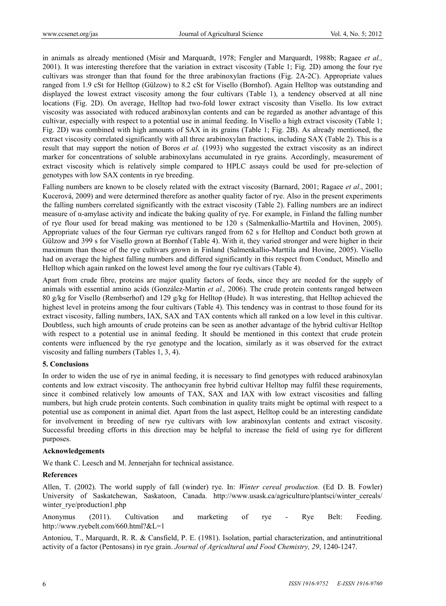in animals as already mentioned (Misir and Marquardt, 1978; Fengler and Marquardt, 1988b; Ragaee *et al.,* 2001). It was interesting therefore that the variation in extract viscosity (Table 1; Fig. 2D) among the four rye cultivars was stronger than that found for the three arabinoxylan fractions (Fig. 2A-2C). Appropriate values ranged from 1.9 cSt for Helltop (Gülzow) to 8.2 cSt for Visello (Bornhof). Again Helltop was outstanding and displayed the lowest extract viscosity among the four cultivars (Table 1), a tendency observed at all nine locations (Fig. 2D). On average, Helltop had two-fold lower extract viscosity than Visello. Its low extract viscosity was associated with reduced arabinoxylan contents and can be regarded as another advantage of this cultivar, especially with respect to a potential use in animal feeding. In Visello a high extract viscosity (Table 1; Fig. 2D) was combined with high amounts of SAX in its grains (Table 1; Fig. 2B). As already mentioned, the extract viscosity correlated significantly with all three arabinoxylan fractions, including SAX (Table 2). This is a result that may support the notion of Boros *et al.* (1993) who suggested the extract viscosity as an indirect marker for concentrations of soluble arabinoxylans accumulated in rye grains. Accordingly, measurement of extract viscosity which is relatively simple compared to HPLC assays could be used for pre-selection of genotypes with low SAX contents in rye breeding.

Falling numbers are known to be closely related with the extract viscosity (Barnard, 2001; Ragaee *et al*., 2001; Kucerová, 2009) and were determined therefore as another quality factor of rye. Also in the present experiments the falling numbers correlated significantly with the extract viscosity (Table 2). Falling numbers are an indirect measure of α-amylase activity and indicate the baking quality of rye. For example, in Finland the falling number of rye flour used for bread making was mentioned to be 120 s (Salmenkallio-Marttila and Hovinen, 2005). Appropriate values of the four German rye cultivars ranged from 62 s for Helltop and Conduct both grown at Gülzow and 399 s for Visello grown at Bornhof (Table 4). With it, they varied stronger and were higher in their maximum than those of the rye cultivars grown in Finland (Salmenkallio-Marttila and Hovine, 2005). Visello had on average the highest falling numbers and differed significantly in this respect from Conduct, Minello and Helltop which again ranked on the lowest level among the four rye cultivars (Table 4).

Apart from crude fibre, proteins are major quality factors of feeds, since they are needed for the supply of animals with essential amino acids (González-Martin *et al.,* 2006). The crude protein contents ranged between 80 g/kg for Visello (Rembserhof) and 129 g/kg for Helltop (Hude). It was interesting, that Helltop achieved the highest level in proteins among the four cultivars (Table 4). This tendency was in contrast to those found for its extract viscosity, falling numbers, IAX, SAX and TAX contents which all ranked on a low level in this cultivar. Doubtless, such high amounts of crude proteins can be seen as another advantage of the hybrid cultivar Helltop with respect to a potential use in animal feeding. It should be mentioned in this context that crude protein contents were influenced by the rye genotype and the location, similarly as it was observed for the extract viscosity and falling numbers (Tables 1, 3, 4).

## **5. Conclusions**

In order to widen the use of rye in animal feeding, it is necessary to find genotypes with reduced arabinoxylan contents and low extract viscosity. The anthocyanin free hybrid cultivar Helltop may fulfil these requirements, since it combined relatively low amounts of TAX, SAX and IAX with low extract viscosities and falling numbers, but high crude protein contents. Such combination in quality traits might be optimal with respect to a potential use as component in animal diet. Apart from the last aspect, Helltop could be an interesting candidate for involvement in breeding of new rye cultivars with low arabinoxylan contents and extract viscosity. Successful breeding efforts in this direction may be helpful to increase the field of using rye for different purposes.

#### **Acknowledgements**

We thank C. Leesch and M. Jennerjahn for technical assistance.

#### **References**

Allen, T. (2002). The world supply of fall (winder) rye. In: *Winter cereal production.* (Ed D. B. Fowler) University of Saskatchewan, Saskatoon, Canada. http://www.usask.ca/agriculture/plantsci/winter\_cereals/ winter\_rye/production1.php

Anonymus (2011). Cultivation and marketing of rye - Rye Belt: Feeding. http://www.ryebelt.com/660.html?&L=1

Antoniou, T., Marquardt, R. R. & Cansfield, P. E. (1981). Isolation, partial characterization, and antinutritional activity of a factor (Pentosans) in rye grain. *Journal of Agricultural and Food Chemistry, 29*, 1240-1247.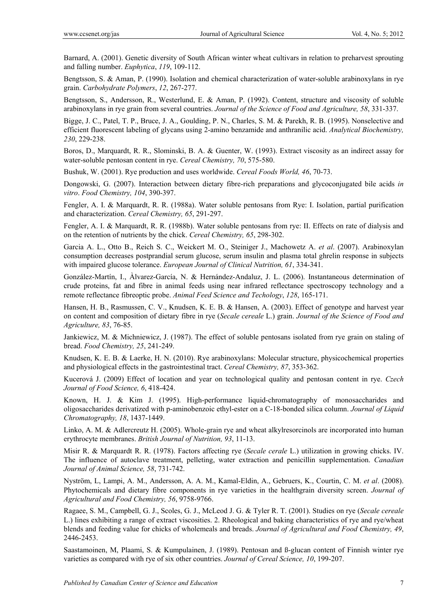Barnard, A. (2001). Genetic diversity of South African winter wheat cultivars in relation to preharvest sprouting and falling number. *Euphytica*, *119*, 109-112.

Bengtsson, S. & Aman, P. (1990). Isolation and chemical characterization of water-soluble arabinoxylans in rye grain. *Carbohydrate Polymers*, *12*, 267-277.

Bengtsson, S., Andersson, R., Westerlund, E. & Aman, P. (1992). Content, structure and viscosity of soluble arabinoxylans in rye grain from several countries. *Journal of the Science of Food and Agriculture, 58*, 331-337.

Bigge, J. C., Patel, T. P., Bruce, J. A., Goulding, P. N., Charles, S. M. & Parekh, R. B. (1995). Nonselective and efficient fluorescent labeling of glycans using 2-amino benzamide and anthranilic acid. *Analytical Biochemistry, 230*, 229-238.

Boros, D., Marquardt, R. R., Slominski, B. A. & Guenter, W. (1993). Extract viscosity as an indirect assay for water-soluble pentosan content in rye. *Cereal Chemistry, 70*, 575-580.

Bushuk, W. (2001). Rye production and uses worldwide. *Cereal Foods World, 46*, 70-73.

Dongowski, G. (2007). Interaction between dietary fibre-rich preparations and glycoconjugated bile acids *in vitro*. *Food Chemistry, 104*, 390-397.

Fengler, A. I. & Marquardt, R. R. (1988a). Water soluble pentosans from Rye: I. Isolation, partial purification and characterization. *Cereal Chemistry, 65*, 291-297.

Fengler, A. I. & Marquardt, R. R. (1988b). Water soluble pentosans from rye: II. Effects on rate of dialysis and on the retention of nutrients by the chick. *Cereal Chemistry, 65*, 298-302.

Garcia A. L., Otto B., Reich S. C., Weickert M. O., Steiniger J., Machowetz A. *et al*. (2007). Arabinoxylan consumption decreases postprandial serum glucose, serum insulin and plasma total ghrelin response in subjects with impaired glucose tolerance. *European Journal of Clinical Nutrition, 61*, 334-341.

González-Martín, I., Àlvarez-García, N. & Hernández-Andaluz, J. L. (2006). Instantaneous determination of crude proteins, fat and fibre in animal feeds using near infrared reflectance spectroscopy technology and a remote reflectance fibreoptic probe. *Animal Feed Science and Techology*, *128*, 165-171.

Hansen, H. B., Rasmussen, C. V., Knudsen, K. E. B. & Hansen, A. (2003). Effect of genotype and harvest year on content and composition of dietary fibre in rye (*Secale cereale* L.) grain. *Journal of the Science of Food and Agriculture, 83*, 76-85.

Jankiewicz, M. & Michniewicz, J. (1987). The effect of soluble pentosans isolated from rye grain on staling of bread. *Food Chemistry, 25*, 241-249.

Knudsen, K. E. B. & Laerke, H. N. (2010). Rye arabinoxylans: Molecular structure, physicochemical properties and physiological effects in the gastrointestinal tract. *Cereal Chemistry, 87*, 353-362.

Kucerová J. (2009) Effect of location and year on technological quality and pentosan content in rye. *Czech Journal of Food Science, 6*, 418-424.

Known, H. J. & Kim J. (1995). High-performance liquid-chromatography of monosaccharides and oligosaccharides derivatized with p-aminobenzoic ethyl-ester on a C-18-bonded silica column. *Journal of Liquid Chromatography, 18*, 1437-1449.

Linko, A. M. & Adlercreutz H. (2005). Whole-grain rye and wheat alkylresorcinols are incorporated into human erythrocyte membranes. *British Journal of Nutrition, 93*, 11-13.

Misir R. & Marquardt R. R. (1978). Factors affecting rye (*Secale cerale* L.) utilization in growing chicks. IV. The influence of autoclave treatment, pelleting, water extraction and penicillin supplementation. *Canadian Journal of Animal Science, 58*, 731-742.

Nyström, L, Lampi, A. M., Andersson, A. A. M., Kamal-Eldin, A., Gebruers, K., Courtin, C. M. *et al*. (2008). Phytochemicals and dietary fibre components in rye varieties in the healthgrain diversity screen. *Journal of Agricultural and Food Chemistry, 56*, 9758-9766.

Ragaee, S. M., Campbell, G. J., Scoles, G. J., McLeod J. G. & Tyler R. T. (2001). Studies on rye (*Secale cereale* L.) lines exhibiting a range of extract viscosities. 2. Rheological and baking characteristics of rye and rye/wheat blends and feeding value for chicks of wholemeals and breads. *Journal of Agricultural and Food Chemistry, 49*, 2446-2453.

Saastamoinen, M, Plaami, S. & Kumpulainen, J. (1989). Pentosan and ß-glucan content of Finnish winter rye varieties as compared with rye of six other countries. *Journal of Cereal Science, 10*, 199-207.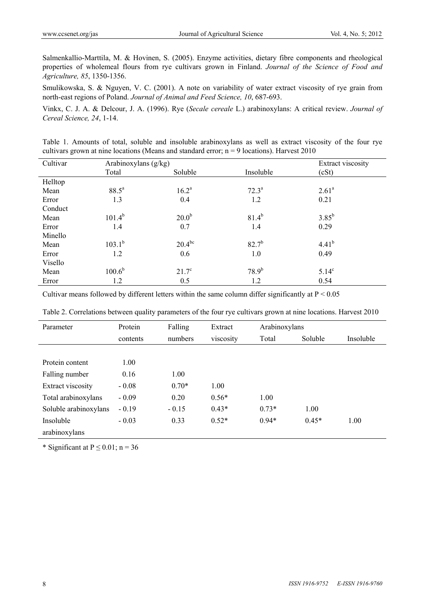Salmenkallio-Marttila, M. & Hovinen, S. (2005). Enzyme activities, dietary fibre components and rheological properties of wholemeal flours from rye cultivars grown in Finland. *Journal of the Science of Food and Agriculture, 85*, 1350-1356.

Smulikowska, S. & Nguyen, V. C. (2001). A note on variability of water extract viscosity of rye grain from north-east regions of Poland. *Journal of Animal and Feed Science, 10*, 687-693.

Vinkx, C. J. A. & Delcour, J. A. (1996). Rye (*Secale cereale* L.) arabinoxylans: A critical review. *Journal of Cereal Science, 24*, 1-14.

Table 1. Amounts of total, soluble and insoluble arabinoxylans as well as extract viscosity of the four rye cultivars grown at nine locations (Means and standard error;  $n = 9$  locations). Harvest 2010

| Cultivar | Arabinoxylans (g/kg) |                   | Extract viscosity |                |  |
|----------|----------------------|-------------------|-------------------|----------------|--|
|          | Total                | Soluble           | Insoluble         | (cSt)          |  |
| Helltop  |                      |                   |                   |                |  |
| Mean     | $88.5^{\circ}$       | $16.2^a$          | $72.3^{\rm a}$    | $2.61^{\rm a}$ |  |
| Error    | 1.3                  | 0.4               | 1.2               | 0.21           |  |
| Conduct  |                      |                   |                   |                |  |
| Mean     | $101.4^{b}$          | 20.0 <sup>b</sup> | $81.4^{b}$        | $3.85^{b}$     |  |
| Error    | 1.4                  | 0.7               | 1.4               | 0.29           |  |
| Minello  |                      |                   |                   |                |  |
| Mean     | $103.1^{b}$          | $20.4^{bc}$       | $82.7^{b}$        | $4.41^{b}$     |  |
| Error    | 1.2                  | 0.6               | 1.0               | 0.49           |  |
| Visello  |                      |                   |                   |                |  |
| Mean     | $100.6^{\rm b}$      | $21.7^\circ$      | $78.9^{b}$        | $5.14^{\circ}$ |  |
| Error    | 1.2                  | 0.5               | 1.2               | 0.54           |  |

Cultivar means followed by different letters within the same column differ significantly at  $P < 0.05$ 

| Parameter             | Protein  | Falling | Extract   | Arabinoxylans |         |           |
|-----------------------|----------|---------|-----------|---------------|---------|-----------|
|                       | contents | numbers | viscosity | Total         | Soluble | Insoluble |
|                       |          |         |           |               |         |           |
| Protein content       | 1.00     |         |           |               |         |           |
| Falling number        | 0.16     | 1.00    |           |               |         |           |
| Extract viscosity     | $-0.08$  | $0.70*$ | 1.00      |               |         |           |
| Total arabinoxylans   | $-0.09$  | 0.20    | $0.56*$   | 1.00          |         |           |
| Soluble arabinoxylans | $-0.19$  | $-0.15$ | $0.43*$   | $0.73*$       | 1.00    |           |
| Insoluble             | $-0.03$  | 0.33    | $0.52*$   | $0.94*$       | $0.45*$ | 1.00      |
| arabinoxylans         |          |         |           |               |         |           |

Table 2. Correlations between quality parameters of the four rye cultivars grown at nine locations. Harvest 2010

\* Significant at  $P \le 0.01$ ; n = 36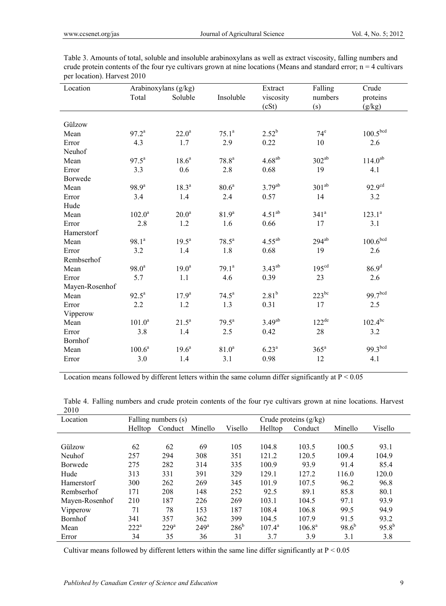| Location       |                   | Arabinoxylans (g/kg) |                   | Extract            | Falling            | Crude                |
|----------------|-------------------|----------------------|-------------------|--------------------|--------------------|----------------------|
|                | Total             | Soluble              | Insoluble         | viscosity          | numbers            | proteins             |
|                |                   |                      |                   | (cSt)              | (s)                | (g/kg)               |
|                |                   |                      |                   |                    |                    |                      |
| Gülzow         |                   |                      |                   |                    |                    |                      |
| Mean           | $97.2^a$          | $22.0^{\rm a}$       | $75.1^a$          | $2.52^{b}$         | $74^e$             | 100.5 <sup>bcd</sup> |
| Error          | 4.3               | 1.7                  | 2.9               | 0.22               | 10                 | 2.6                  |
| Neuhof         |                   |                      |                   |                    |                    |                      |
| Mean           | $97.5^{\text{a}}$ | 18.6 <sup>a</sup>    | 78.8 <sup>a</sup> | $4.68^{ab}$        | $302^{ab}$         | $114.0^{ab}$         |
| Error          | 3.3               | $0.6\,$              | $2.8\,$           | 0.68               | 19                 | 4.1                  |
| Borwede        |                   |                      |                   |                    |                    |                      |
| Mean           | $98.9^{a}$        | $18.3^{\rm a}$       | 80.6 <sup>a</sup> | $3.79^{ab}$        | $301^{ab}$         | 92.9 <sup>cd</sup>   |
| Error          | 3.4               | 1.4                  | 2.4               | 0.57               | 14                 | 3.2                  |
| Hude           |                   |                      |                   |                    |                    |                      |
| Mean           | $102.0^a$         | 20.0 <sup>a</sup>    | 81.9 <sup>a</sup> | $4.51^{ab}$        | 341 <sup>a</sup>   | $123.1^a$            |
| Error          | 2.8               | 1.2                  | 1.6               | 0.66               | 17                 | 3.1                  |
| Hamerstorf     |                   |                      |                   |                    |                    |                      |
| Mean           | $98.1^a$          | $19.5^{\text{a}}$    | $78.5^a$          | $4.55^{ab}$        | $294^{ab}$         | 100.6 <sup>bcd</sup> |
| Error          | 3.2               | $1.4\,$              | 1.8               | 0.68               | 19                 | 2.6                  |
| Rembserhof     |                   |                      |                   |                    |                    |                      |
| Mean           | $98.0^a$          | 19.0 <sup>a</sup>    | $79.1^a$          | $3.43^{ab}$        | 195 <sup>cd</sup>  | $86.9^{d}$           |
| Error          | 5.7               | 1.1                  | 4.6               | 0.39               | 23                 | 2.6                  |
| Mayen-Rosenhof |                   |                      |                   |                    |                    |                      |
| Mean           | $92.5^{\text{a}}$ | $17.9^{\rm a}$       | $74.5^a$          | 2.81 <sup>b</sup>  | $223^{bc}$         | 99.7 <sup>bcd</sup>  |
| Error          | 2.2               | 1.2                  | 1.3               | 0.31               | 17                 | 2.5                  |
| Vipperow       |                   |                      |                   |                    |                    |                      |
| Mean           | $101.0^a$         | $21.5^a$             | $79.5^{\text{a}}$ | 3.49 <sup>ab</sup> | $122^{\text{de}}$  | $102.4^{bc}$         |
| Error          | 3.8               | 1.4                  | 2.5               | 0.42               | 28                 | 3.2                  |
| Bornhof        |                   |                      |                   |                    |                    |                      |
| Mean           | $100.6^a$         | $19.6^a$             | 81.0 <sup>a</sup> | 6.23 <sup>a</sup>  | $365^{\mathrm{a}}$ | 99.3bcd              |
| Error          | 3.0               | 1.4                  | 3.1               | 0.98               | 12                 | 4.1                  |

Table 3. Amounts of total, soluble and insoluble arabinoxylans as well as extract viscosity, falling numbers and crude protein contents of the four rye cultivars grown at nine locations (Means and standard error;  $n = 4$  cultivars per location). Harvest 2010

Location means followed by different letters within the same column differ significantly at  $P < 0.05$ 

| Location       | Falling numbers (s) |         |                  |               | Crude proteins $(g/kg)$ |                 |            |            |
|----------------|---------------------|---------|------------------|---------------|-------------------------|-----------------|------------|------------|
|                | Helltop             | Conduct | Minello          | Visello       | Helltop                 | Conduct         | Minello    | Visello    |
|                |                     |         |                  |               |                         |                 |            |            |
| Gülzow         | 62                  | 62      | 69               | 105           | 104.8                   | 103.5           | 100.5      | 93.1       |
| Neuhof         | 257                 | 294     | 308              | 351           | 121.2                   | 120.5           | 109.4      | 104.9      |
| Borwede        | 275                 | 282     | 314              | 335           | 100.9                   | 93.9            | 91.4       | 85.4       |
| Hude           | 313                 | 331     | 391              | 329           | 129.1                   | 127.2           | 116.0      | 120.0      |
| Hamerstorf     | 300                 | 262     | 269              | 345           | 101.9                   | 107.5           | 96.2       | 96.8       |
| Rembserhof     | 171                 | 208     | 148              | 252           | 92.5                    | 89.1            | 85.8       | 80.1       |
| Mayen-Rosenhof | 210                 | 187     | 226              | 269           | 103.1                   | 104.5           | 97.1       | 93.9       |
| Vipperow       | 71                  | 78      | 153              | 187           | 108.4                   | 106.8           | 99.5       | 94.9       |
| Bornhof        | 341                 | 357     | 362              | 399           | 104.5                   | 107.9           | 91.5       | 93.2       |
| Mean           | $222^a$             | $229^a$ | 249 <sup>a</sup> | $286^{\rm b}$ | $107.4^{\rm a}$         | $106.8^{\rm a}$ | $98.6^{b}$ | $95.8^{b}$ |
| Error          | 34                  | 35      | 36               | 31            | 3.7                     | 3.9             | 3.1        | 3.8        |

Table 4. Falling numbers and crude protein contents of the four rye cultivars grown at nine locations. Harvest 2010

Cultivar means followed by different letters within the same line differ significantly at  $P < 0.05$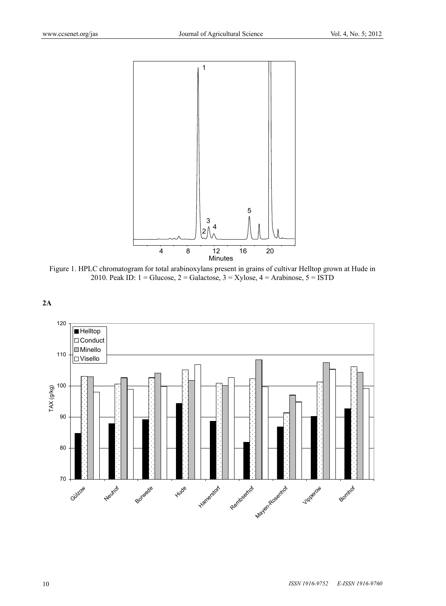

Figure 1. HPLC chromatogram for total arabinoxylans present in grains of cultivar Helltop grown at Hude in 2010. Peak ID:  $1 = \text{Glucose}, 2 = \text{Galactose}, 3 = \text{Xylose}, 4 = \text{Arabinose}, 5 = \text{ISTD}$ 



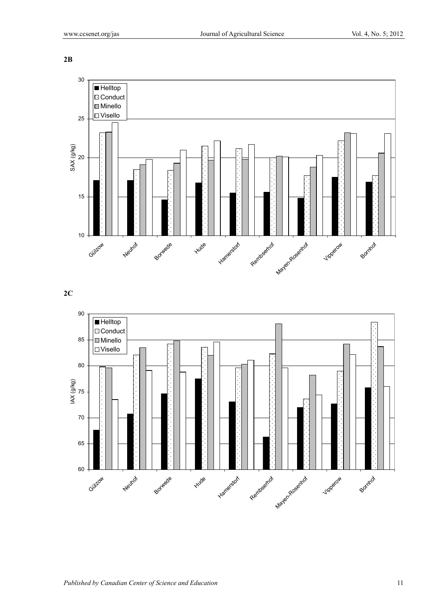**2B** 



## **2C**